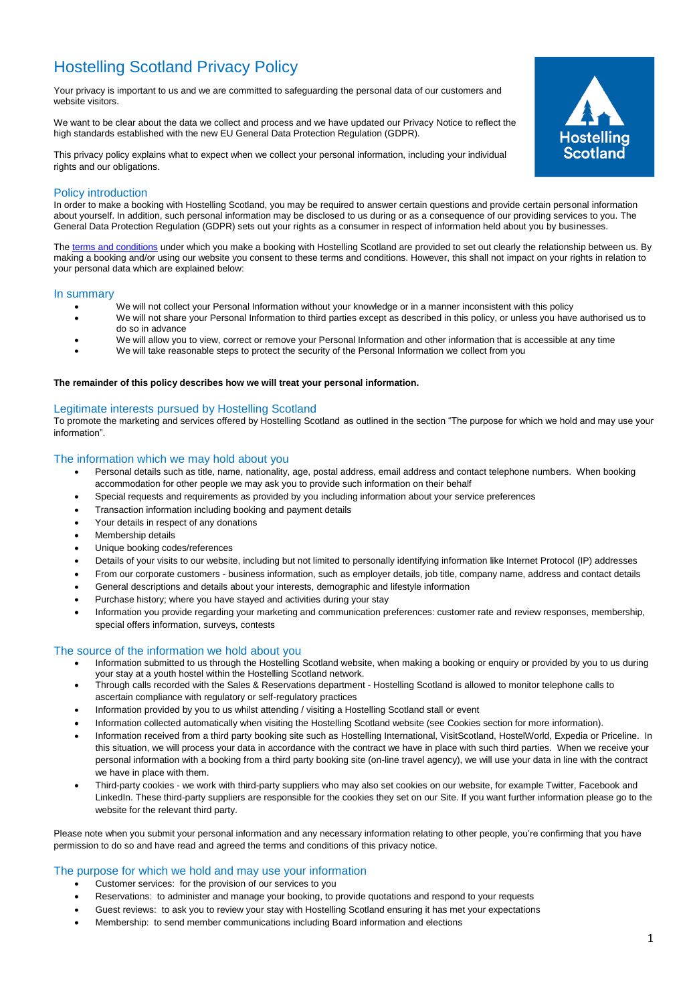# Hostelling Scotland Privacy Policy

Your privacy is important to us and we are committed to safeguarding the personal data of our customers and website visitors.

We want to be clear about the data we collect and process and we have updated our Privacy Notice to reflect the high standards established with the new EU General Data Protection Regulation (GDPR).

This privacy policy explains what to expect when we collect your personal information, including your individual rights and our obligations.



# Policy introduction

In order to make a booking with Hostelling Scotland, you may be required to answer certain questions and provide certain personal information about yourself. In addition, such personal information may be disclosed to us during or as a consequence of our providing services to you. The General Data Protection Regulation (GDPR) sets out your rights as a consumer in respect of information held about you by businesses.

Th[e terms and conditions](https://www.syha.org.uk/terms-conditions/) under which you make a booking with Hostelling Scotland are provided to set out clearly the relationship between us. By making a booking and/or using our website you consent to these terms and conditions. However, this shall not impact on your rights in relation to your personal data which are explained below:

#### In summary

- We will not collect your Personal Information without your knowledge or in a manner inconsistent with this policy
	- We will not share your Personal Information to third parties except as described in this policy, or unless you have authorised us to do so in advance
- We will allow you to view, correct or remove your Personal Information and other information that is accessible at any time
- We will take reasonable steps to protect the security of the Personal Information we collect from you

#### **The remainder of this policy describes how we will treat your personal information.**

# Legitimate interests pursued by Hostelling Scotland

To promote the marketing and services offered by Hostelling Scotland as outlined in the section "The purpose for which we hold and may use your information".

#### The information which we may hold about you

- Personal details such as title, name, nationality, age, postal address, email address and contact telephone numbers. When booking accommodation for other people we may ask you to provide such information on their behalf
- Special requests and requirements as provided by you including information about your service preferences
- Transaction information including booking and payment details
- Your details in respect of any donations
- Membership details
- Unique booking codes/references
- Details of your visits to our website, including but not limited to personally identifying information like Internet Protocol (IP) addresses
- From our corporate customers business information, such as employer details, job title, company name, address and contact details
- General descriptions and details about your interests, demographic and lifestyle information
- Purchase history; where you have stayed and activities during your stay
- Information you provide regarding your marketing and communication preferences: customer rate and review responses, membership, special offers information, surveys, contests

# The source of the information we hold about you

- Information submitted to us through the Hostelling Scotland website, when making a booking or enquiry or provided by you to us during your stay at a youth hostel within the Hostelling Scotland network.
- Through calls recorded with the Sales & Reservations department Hostelling Scotland is allowed to monitor telephone calls to ascertain compliance with regulatory or self-regulatory practices
- Information provided by you to us whilst attending / visiting a Hostelling Scotland stall or event
- Information collected automatically when visiting the Hostelling Scotland website (see Cookies section for more information).
- Information received from a third party booking site such as Hostelling International, VisitScotland, HostelWorld, Expedia or Priceline. In this situation, we will process your data in accordance with the contract we have in place with such third parties. When we receive your personal information with a booking from a third party booking site (on-line travel agency), we will use your data in line with the contract we have in place with them.
- Third-party cookies we work with third-party suppliers who may also set cookies on our website, for example Twitter, Facebook and LinkedIn. These third-party suppliers are responsible for the cookies they set on our Site. If you want further information please go to the website for the relevant third party.

Please note when you submit your personal information and any necessary information relating to other people, you're confirming that you have permission to do so and have read and agreed the terms and conditions of this privacy notice.

# The purpose for which we hold and may use your information

- Customer services: for the provision of our services to you
- Reservations: to administer and manage your booking, to provide quotations and respond to your requests
- Guest reviews: to ask you to review your stay with Hostelling Scotland ensuring it has met your expectations
- Membership: to send member communications including Board information and elections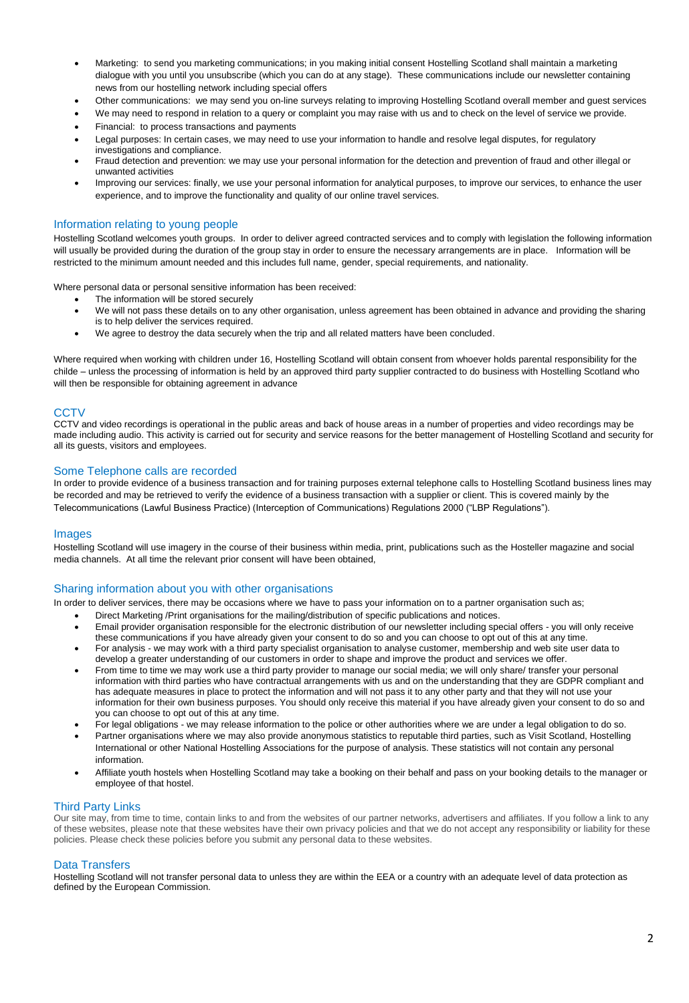- Marketing: to send you marketing communications; in you making initial consent Hostelling Scotland shall maintain a marketing dialogue with you until you unsubscribe (which you can do at any stage). These communications include our newsletter containing news from our hostelling network including special offers
- Other communications: we may send you on-line surveys relating to improving Hostelling Scotland overall member and guest services
- We may need to respond in relation to a query or complaint you may raise with us and to check on the level of service we provide.
- Financial: to process transactions and payments
- Legal purposes: In certain cases, we may need to use your information to handle and resolve legal disputes, for regulatory investigations and compliance.
- Fraud detection and prevention: we may use your personal information for the detection and prevention of fraud and other illegal or unwanted activities
- Improving our services: finally, we use your personal information for analytical purposes, to improve our services, to enhance the user experience, and to improve the functionality and quality of our online travel services.

# Information relating to young people

Hostelling Scotland welcomes youth groups. In order to deliver agreed contracted services and to comply with legislation the following information will usually be provided during the duration of the group stay in order to ensure the necessary arrangements are in place. Information will be restricted to the minimum amount needed and this includes full name, gender, special requirements, and nationality.

Where personal data or personal sensitive information has been received:

- The information will be stored securely
- We will not pass these details on to any other organisation, unless agreement has been obtained in advance and providing the sharing is to help deliver the services required.
- We agree to destroy the data securely when the trip and all related matters have been concluded.

Where required when working with children under 16, Hostelling Scotland will obtain consent from whoever holds parental responsibility for the childe – unless the processing of information is held by an approved third party supplier contracted to do business with Hostelling Scotland who will then be responsible for obtaining agreement in advance

# **CCTV**

CCTV and video recordings is operational in the public areas and back of house areas in a number of properties and video recordings may be made including audio. This activity is carried out for security and service reasons for the better management of Hostelling Scotland and security for all its guests, visitors and employees.

# Some Telephone calls are recorded

In order to provide evidence of a business transaction and for training purposes external telephone calls to Hostelling Scotland business lines may be recorded and may be retrieved to verify the evidence of a business transaction with a supplier or client. This is covered mainly by the Telecommunications (Lawful Business Practice) (Interception of Communications) Regulations 2000 ("LBP Regulations").

# **Images**

Hostelling Scotland will use imagery in the course of their business within media, print, publications such as the Hosteller magazine and social media channels. At all time the relevant prior consent will have been obtained,

# Sharing information about you with other organisations

In order to deliver services, there may be occasions where we have to pass your information on to a partner organisation such as;

- Direct Marketing /Print organisations for the mailing/distribution of specific publications and notices.
- Email provider organisation responsible for the electronic distribution of our newsletter including special offers you will only receive these communications if you have already given your consent to do so and you can choose to opt out of this at any time.
- For analysis we may work with a third party specialist organisation to analyse customer, membership and web site user data to develop a greater understanding of our customers in order to shape and improve the product and services we offer.
- From time to time we may work use a third party provider to manage our social media; we will only share/ transfer your personal information with third parties who have contractual arrangements with us and on the understanding that they are GDPR compliant and has adequate measures in place to protect the information and will not pass it to any other party and that they will not use your information for their own business purposes. You should only receive this material if you have already given your consent to do so and you can choose to opt out of this at any time.
- For legal obligations we may release information to the police or other authorities where we are under a legal obligation to do so.
- Partner organisations where we may also provide anonymous statistics to reputable third parties, such as Visit Scotland, Hostelling International or other National Hostelling Associations for the purpose of analysis. These statistics will not contain any personal information.
- Affiliate youth hostels when Hostelling Scotland may take a booking on their behalf and pass on your booking details to the manager or employee of that hostel.

# Third Party Links

Our site may, from time to time, contain links to and from the websites of our partner networks, advertisers and affiliates. If you follow a link to any of these websites, please note that these websites have their own privacy policies and that we do not accept any responsibility or liability for these policies. Please check these policies before you submit any personal data to these websites.

# Data Transfers

Hostelling Scotland will not transfer personal data to unless they are within the EEA or a country with an adequate level of data protection as defined by the European Commission.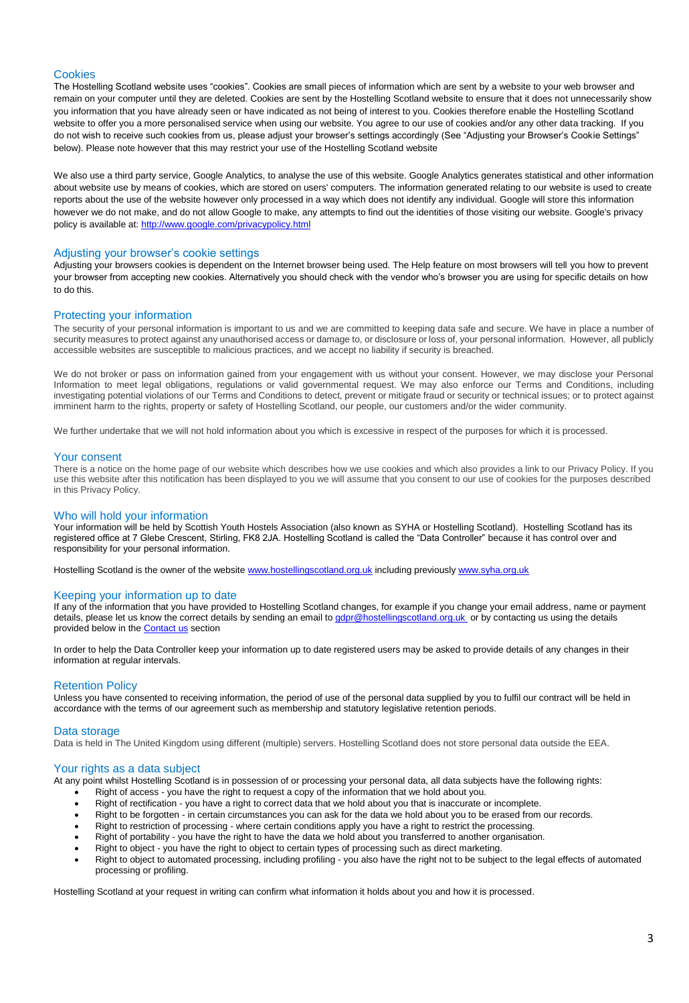# **Cookies**

The Hostelling Scotland website uses "cookies". Cookies are small pieces of information which are sent by a website to your web browser and remain on your computer until they are deleted. Cookies are sent by the Hostelling Scotland website to ensure that it does not unnecessarily show you information that you have already seen or have indicated as not being of interest to you. Cookies therefore enable the Hostelling Scotland website to offer you a more personalised service when using our website. You agree to our use of cookies and/or any other data tracking. If you do not wish to receive such cookies from us, please adjust your browser's settings accordingly (See "Adjusting your Browser's Cookie Settings" below). Please note however that this may restrict your use of the Hostelling Scotland website

We also use a third party service, Google Analytics, to analyse the use of this website. Google Analytics generates statistical and other information about website use by means of cookies, which are stored on users' computers. The information generated relating to our website is used to create reports about the use of the website however only processed in a way which does not identify any individual. Google will store this information however we do not make, and do not allow Google to make, any attempts to find out the identities of those visiting our website. Google's privacy policy is available at:<http://www.google.com/privacypolicy.html>

#### Adjusting your browser's cookie settings

Adjusting your browsers cookies is dependent on the Internet browser being used. The Help feature on most browsers will tell you how to prevent your browser from accepting new cookies. Alternatively you should check with the vendor who's browser you are using for specific details on how to do this.

#### Protecting your information

The security of your personal information is important to us and we are committed to keeping data safe and secure. We have in place a number of security measures to protect against any unauthorised access or damage to, or disclosure or loss of, your personal information. However, all publicly accessible websites are susceptible to malicious practices, and we accept no liability if security is breached.

We do not broker or pass on information gained from your engagement with us without your consent. However, we may disclose your Personal Information to meet legal obligations, regulations or valid governmental request. We may also enforce our Terms and Conditions, including investigating potential violations of our Terms and Conditions to detect, prevent or mitigate fraud or security or technical issues; or to protect against imminent harm to the rights, property or safety of Hostelling Scotland, our people, our customers and/or the wider community.

We further undertake that we will not hold information about you which is excessive in respect of the purposes for which it is processed.

#### Your consent

There is a notice on the home page of our website which describes how we use cookies and which also provides a link to our Privacy Policy. If you use this website after this notification has been displayed to you we will assume that you consent to our use of cookies for the purposes described in this Privacy Policy.

# Who will hold your information

Your information will be held by Scottish Youth Hostels Association (also known as SYHA or Hostelling Scotland). Hostelling Scotland has its registered office at 7 Glebe Crescent, Stirling, FK8 2JA. Hostelling Scotland is called the "Data Controller" because it has control over and responsibility for your personal information.

Hostelling Scotland is the owner of the website [www.hostellingscotland.org.uk](http://www.hostellingscotland.org.uk/) including previously [www.syha.org.uk](http://www.syha.org.uk/)

#### Keeping your information up to date

If any of the information that you have provided to Hostelling Scotland changes, for example if you change your email address, name or payment details, please let us know the correct details by sending an email to [gdpr@hostellingscotland.org.uk](mailto:gdpr@hostellingscotland.org.uk) or by contacting us using the details provided below in the **[Contact us](https://www.syha.org.uk/about-us/contact-us/)** section

In order to help the Data Controller keep your information up to date registered users may be asked to provide details of any changes in their information at regular intervals.

#### Retention Policy

Unless you have consented to receiving information, the period of use of the personal data supplied by you to fulfil our contract will be held in accordance with the terms of our agreement such as membership and statutory legislative retention periods.

#### Data storage

Data is held in The United Kingdom using different (multiple) servers. Hostelling Scotland does not store personal data outside the EEA.

#### Your rights as a data subject

At any point whilst Hostelling Scotland is in possession of or processing your personal data, all data subjects have the following rights:

- Right of access you have the right to request a copy of the information that we hold about you.
- Right of rectification you have a right to correct data that we hold about you that is inaccurate or incomplete.
- Right to be forgotten in certain circumstances you can ask for the data we hold about you to be erased from our records.
- Right to restriction of processing where certain conditions apply you have a right to restrict the processing.
- Right of portability you have the right to have the data we hold about you transferred to another organisation.
- Right to object you have the right to object to certain types of processing such as direct marketing.
- Right to object to automated processing, including profiling you also have the right not to be subject to the legal effects of automated processing or profiling.

Hostelling Scotland at your request in writing can confirm what information it holds about you and how it is processed.